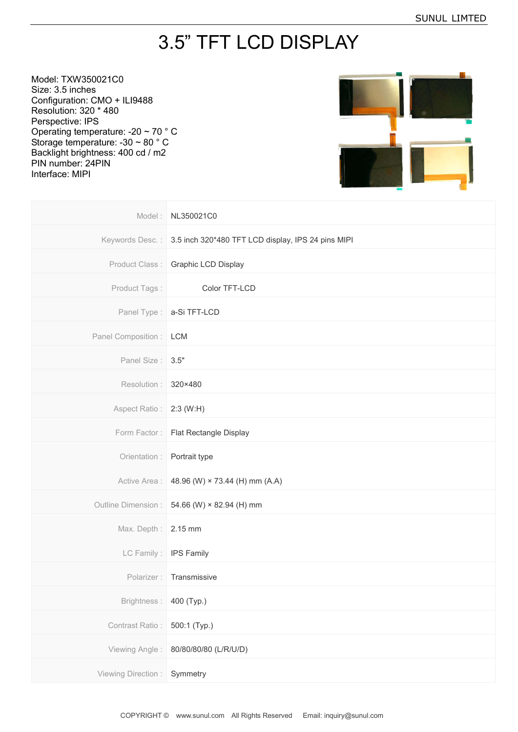## 3.5" TFT LCD DISPLAY

Model: TXW350021C0 Size: 3.5 inches Configuration: CMO + ILI9488 Resolution: 320 \* 480 Perspective: IPS Operating temperature: -20 ~ 70 ° C Storage temperature: -30 ~ 80 ° C Backlight brightness: 400 cd / m2 PIN number: 24PIN Interface: MIPI



|                           | Model: NL350021C0                                                  |
|---------------------------|--------------------------------------------------------------------|
|                           | Keywords Desc.: 3.5 inch 320*480 TFT LCD display, IPS 24 pins MIPI |
| Product Class:            | <b>Graphic LCD Display</b>                                         |
| Product Tags:             | Color TFT-LCD                                                      |
|                           | Panel Type :   a-Si TFT-LCD                                        |
| Panel Composition :   LCM |                                                                    |
| Panel Size: 3.5"          |                                                                    |
| Resolution: 320×480       |                                                                    |
| Aspect Ratio: 2:3 (W:H)   |                                                                    |
| Form Factor:              | Flat Rectangle Display                                             |
| Orientation :             | Portrait type                                                      |
|                           | Active Area: 48.96 (W) × 73.44 (H) mm (A.A)                        |
| Outline Dimension :       | 54.66 (W) × 82.94 (H) mm                                           |
| Max. Depth: 2.15 mm       |                                                                    |
|                           | LC Family: IPS Family                                              |
| Polarizer:                | Transmissive                                                       |
| Brightness:               | 400 (Typ.)                                                         |
| Contrast Ratio:           | 500:1 (Typ.)                                                       |
| Viewing Angle:            | 80/80/80/80 (L/R/U/D)                                              |
| Viewing Direction:        | Symmetry                                                           |